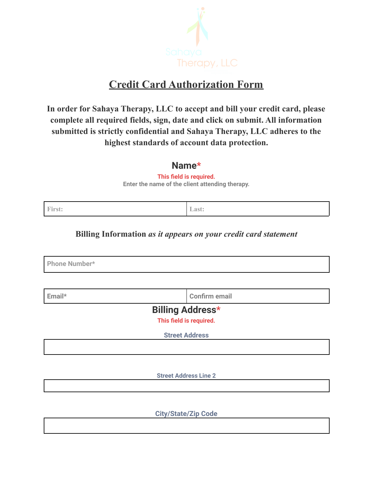

# **Credit Card Authorization Form**

**In order for Sahaya Therapy, LLC to accept and bill your credit card, please complete all required fields, sign, date and click on submit. All information submitted is strictly confidential and Sahaya Therapy, LLC adheres to the highest standards of account data protection.**

### **Name\***

**This field is required. Enter the name of the client attending therapy.**

**First: Last:**

#### **Billing Information** *as it appears on your credit card statement*

**Phone Number\***

**Email\* Confirm email**

**Billing Address\***

**This field is required.**

**Street Address**

**Street Address Line 2**

**City/State/Zip Code**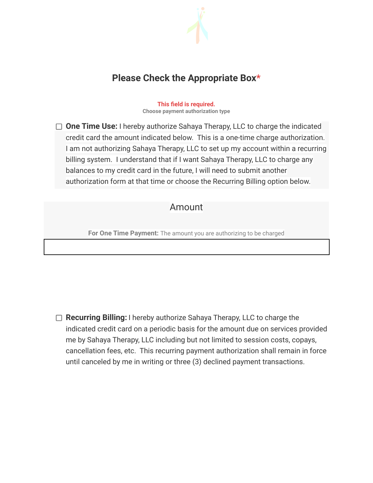

## **Please Check the Appropriate Box\***

**This field is required. Choose payment authorization type**

**One Time Use:** I hereby authorize Sahaya Therapy, LLC to charge the indicated credit card the amount indicated below. This is a one-time charge authorization. I am not authorizing Sahaya Therapy, LLC to set up my account within a recurring billing system. I understand that if I want Sahaya Therapy, LLC to charge any balances to my credit card in the future, I will need to submit another authorization form at that time or choose the Recurring Billing option below.

### Amount

**For One Time Payment:** The amount you are authorizing to be charged

**Recurring Billing:** I hereby authorize Sahaya Therapy, LLC to charge the indicated credit card on a periodic basis for the amount due on services provided me by Sahaya Therapy, LLC including but not limited to session costs, copays, cancellation fees, etc. This recurring payment authorization shall remain in force until canceled by me in writing or three (3) declined payment transactions.